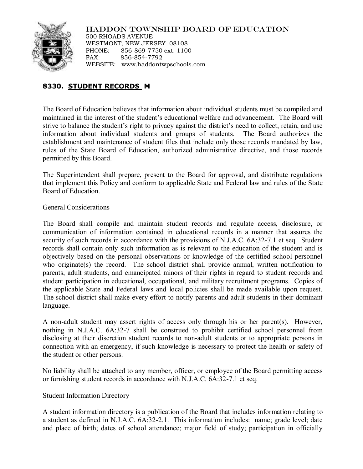

HADDON TOWNSHIP BOARD OF EDUCATION 500 RHOADS AVENUE

WESTMONT, NEW JERSEY 08108 PHONE: 856-869-7750 ext. 1100 FAX: 856-854-7792 WEBSITE: www.haddontwpschools.com

# **8330. STUDENT RECORDS M**

The Board of Education believes that information about individual students must be compiled and maintained in the interest of the student's educational welfare and advancement. The Board will strive to balance the student's right to privacy against the district's need to collect, retain, and use information about individual students and groups of students. The Board authorizes the establishment and maintenance of student files that include only those records mandated by law, rules of the State Board of Education, authorized administrative directive, and those records permitted by this Board.

The Superintendent shall prepare, present to the Board for approval, and distribute regulations that implement this Policy and conform to applicable State and Federal law and rules of the State Board of Education.

General Considerations

The Board shall compile and maintain student records and regulate access, disclosure, or communication of information contained in educational records in a manner that assures the security of such records in accordance with the provisions of N.J.A.C. 6A:32-7.1 et seq. Student records shall contain only such information as is relevant to the education of the student and is objectively based on the personal observations or knowledge of the certified school personnel who originate(s) the record. The school district shall provide annual, written notification to parents, adult students, and emancipated minors of their rights in regard to student records and student participation in educational, occupational, and military recruitment programs. Copies of the applicable State and Federal laws and local policies shall be made available upon request. The school district shall make every effort to notify parents and adult students in their dominant language.

A non-adult student may assert rights of access only through his or her parent(s). However, nothing in N.J.A.C. 6A:32-7 shall be construed to prohibit certified school personnel from disclosing at their discretion student records to non-adult students or to appropriate persons in connection with an emergency, if such knowledge is necessary to protect the health or safety of the student or other persons.

No liability shall be attached to any member, officer, or employee of the Board permitting access or furnishing student records in accordance with N.J.A.C. 6A:32-7.1 et seq.

## Student Information Directory

A student information directory is a publication of the Board that includes information relating to a student as defined in N.J.A.C. 6A:32-2.1. This information includes: name; grade level; date and place of birth; dates of school attendance; major field of study; participation in officially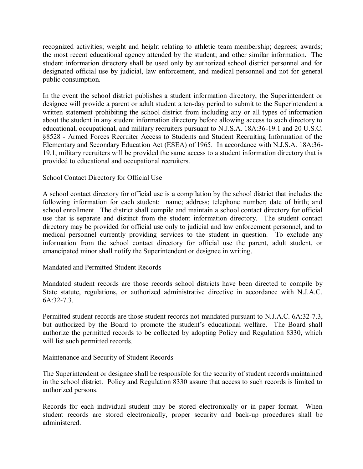recognized activities; weight and height relating to athletic team membership; degrees; awards; the most recent educational agency attended by the student; and other similar information. The student information directory shall be used only by authorized school district personnel and for designated official use by judicial, law enforcement, and medical personnel and not for general public consumption.

In the event the school district publishes a student information directory, the Superintendent or designee will provide a parent or adult student a ten-day period to submit to the Superintendent a written statement prohibiting the school district from including any or all types of information about the student in any student information directory before allowing access to such directory to educational, occupational, and military recruiters pursuant to N.J.S.A. 18A:36-19.1 and 20 U.S.C. §8528 - Armed Forces Recruiter Access to Students and Student Recruiting Information of the Elementary and Secondary Education Act (ESEA) of 1965. In accordance with N.J.S.A. 18A:36- 19.1, military recruiters will be provided the same access to a student information directory that is provided to educational and occupational recruiters.

### School Contact Directory for Official Use

A school contact directory for official use is a compilation by the school district that includes the following information for each student: name; address; telephone number; date of birth; and school enrollment. The district shall compile and maintain a school contact directory for official use that is separate and distinct from the student information directory. The student contact directory may be provided for official use only to judicial and law enforcement personnel, and to medical personnel currently providing services to the student in question. To exclude any information from the school contact directory for official use the parent, adult student, or emancipated minor shall notify the Superintendent or designee in writing.

#### Mandated and Permitted Student Records

Mandated student records are those records school districts have been directed to compile by State statute, regulations, or authorized administrative directive in accordance with N.J.A.C. 6A:32-7.3.

Permitted student records are those student records not mandated pursuant to N.J.A.C. 6A:32-7.3, but authorized by the Board to promote the student's educational welfare. The Board shall authorize the permitted records to be collected by adopting Policy and Regulation 8330, which will list such permitted records.

#### Maintenance and Security of Student Records

The Superintendent or designee shall be responsible for the security of student records maintained in the school district. Policy and Regulation 8330 assure that access to such records is limited to authorized persons.

Records for each individual student may be stored electronically or in paper format. When student records are stored electronically, proper security and back-up procedures shall be administered.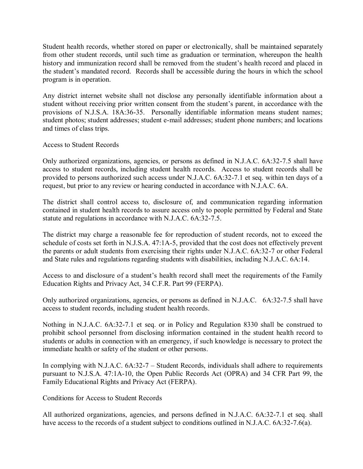Student health records, whether stored on paper or electronically, shall be maintained separately from other student records, until such time as graduation or termination, whereupon the health history and immunization record shall be removed from the student's health record and placed in the student's mandated record. Records shall be accessible during the hours in which the school program is in operation.

Any district internet website shall not disclose any personally identifiable information about a student without receiving prior written consent from the student's parent, in accordance with the provisions of N.J.S.A. 18A:36-35. Personally identifiable information means student names; student photos; student addresses; student e-mail addresses; student phone numbers; and locations and times of class trips.

#### Access to Student Records

Only authorized organizations, agencies, or persons as defined in N.J.A.C. 6A:32-7.5 shall have access to student records, including student health records. Access to student records shall be provided to persons authorized such access under N.J.A.C. 6A:32-7.1 et seq. within ten days of a request, but prior to any review or hearing conducted in accordance with N.J.A.C. 6A.

The district shall control access to, disclosure of, and communication regarding information contained in student health records to assure access only to people permitted by Federal and State statute and regulations in accordance with N.J.A.C. 6A:32-7.5.

The district may charge a reasonable fee for reproduction of student records, not to exceed the schedule of costs set forth in N.J.S.A. 47:1A-5, provided that the cost does not effectively prevent the parents or adult students from exercising their rights under N.J.A.C. 6A:32-7 or other Federal and State rules and regulations regarding students with disabilities, including N.J.A.C. 6A:14.

Access to and disclosure of a student's health record shall meet the requirements of the Family Education Rights and Privacy Act, 34 C.F.R. Part 99 (FERPA).

Only authorized organizations, agencies, or persons as defined in N.J.A.C. 6A:32-7.5 shall have access to student records, including student health records.

Nothing in N.J.A.C. 6A:32-7.1 et seq. or in Policy and Regulation 8330 shall be construed to prohibit school personnel from disclosing information contained in the student health record to students or adults in connection with an emergency, if such knowledge is necessary to protect the immediate health or safety of the student or other persons.

In complying with N.J.A.C. 6A:32-7 – Student Records, individuals shall adhere to requirements pursuant to N.J.S.A. 47:1A-10, the Open Public Records Act (OPRA) and 34 CFR Part 99, the Family Educational Rights and Privacy Act (FERPA).

Conditions for Access to Student Records

All authorized organizations, agencies, and persons defined in N.J.A.C. 6A:32-7.1 et seq. shall have access to the records of a student subject to conditions outlined in N.J.A.C. 6A:32-7.6(a).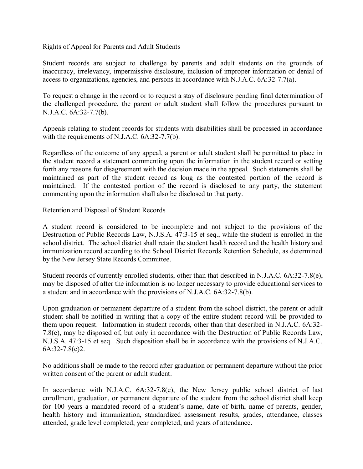Rights of Appeal for Parents and Adult Students

Student records are subject to challenge by parents and adult students on the grounds of inaccuracy, irrelevancy, impermissive disclosure, inclusion of improper information or denial of access to organizations, agencies, and persons in accordance with N.J.A.C. 6A:32-7.7(a).

To request a change in the record or to request a stay of disclosure pending final determination of the challenged procedure, the parent or adult student shall follow the procedures pursuant to N.J.A.C. 6A:32-7.7(b).

Appeals relating to student records for students with disabilities shall be processed in accordance with the requirements of N.J.A.C. 6A:32-7.7(b).

Regardless of the outcome of any appeal, a parent or adult student shall be permitted to place in the student record a statement commenting upon the information in the student record or setting forth any reasons for disagreement with the decision made in the appeal. Such statements shall be maintained as part of the student record as long as the contested portion of the record is maintained. If the contested portion of the record is disclosed to any party, the statement commenting upon the information shall also be disclosed to that party.

Retention and Disposal of Student Records

A student record is considered to be incomplete and not subject to the provisions of the Destruction of Public Records Law, N.J.S.A. 47:3-15 et seq., while the student is enrolled in the school district. The school district shall retain the student health record and the health history and immunization record according to the School District Records Retention Schedule, as determined by the New Jersey State Records Committee.

Student records of currently enrolled students, other than that described in N.J.A.C. 6A:32-7.8(e), may be disposed of after the information is no longer necessary to provide educational services to a student and in accordance with the provisions of N.J.A.C. 6A:32-7.8(b).

Upon graduation or permanent departure of a student from the school district, the parent or adult student shall be notified in writing that a copy of the entire student record will be provided to them upon request. Information in student records, other than that described in N.J.A.C. 6A:32- 7.8(e), may be disposed of, but only in accordance with the Destruction of Public Records Law, N.J.S.A. 47:3-15 et seq. Such disposition shall be in accordance with the provisions of N.J.A.C. 6A:32-7.8(c)2.

No additions shall be made to the record after graduation or permanent departure without the prior written consent of the parent or adult student.

In accordance with N.J.A.C.  $6A:32-7.8(e)$ , the New Jersey public school district of last enrollment, graduation, or permanent departure of the student from the school district shall keep for 100 years a mandated record of a student's name, date of birth, name of parents, gender, health history and immunization, standardized assessment results, grades, attendance, classes attended, grade level completed, year completed, and years of attendance.